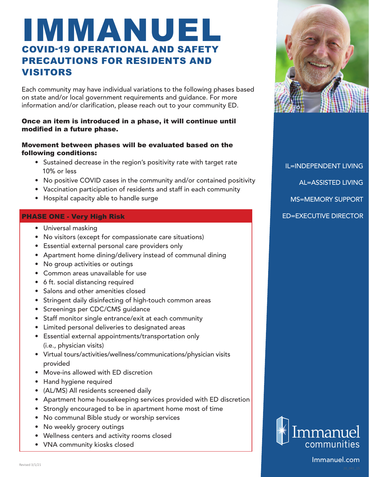# IMMANUEL COVID-19 OPERATIONAL AND SAFETY PRECAUTIONS FOR RESIDENTS AND VISITORS

Each community may have individual variations to the following phases based on state and/or local government requirements and guidance. For more information and/or clarification, please reach out to your community ED.

# Once an item is introduced in a phase, it will continue until modified in a future phase.

## Movement between phases will be evaluated based on the following conditions:

- Sustained decrease in the region's positivity rate with target rate 10% or less
- No positive COVID cases in the community and/or contained positivity
- Vaccination participation of residents and staff in each community
- Hospital capacity able to handle surge

# PHASE ONE - Very High Risk

- Universal masking
- No visitors (except for compassionate care situations)
- Essential external personal care providers only
- Apartment home dining/delivery instead of communal dining
- No group activities or outings
- Common areas unavailable for use
- 6 ft. social distancing required
- Salons and other amenities closed
- Stringent daily disinfecting of high-touch common areas
- Screenings per CDC/CMS guidance
- Staff monitor single entrance/exit at each community
- Limited personal deliveries to designated areas
- Essential external appointments/transportation only (i.e., physician visits)
- Virtual tours/activities/wellness/communications/physician visits provided
- Move-ins allowed with ED discretion
- Hand hygiene required
- (AL/MS) All residents screened daily
- Apartment home housekeeping services provided with ED discretion
- Strongly encouraged to be in apartment home most of time
- No communal Bible study or worship services
- No weekly grocery outings

Revised 3/1/21

- Wellness centers and activity rooms closed
- VNA community kiosks closed



IL=INDEPENDENT LIVING AL=ASSISTED LIVING MS=MEMORY SUPPORT ED=EXECUTIVE DIRECTOR



Immanuel.com